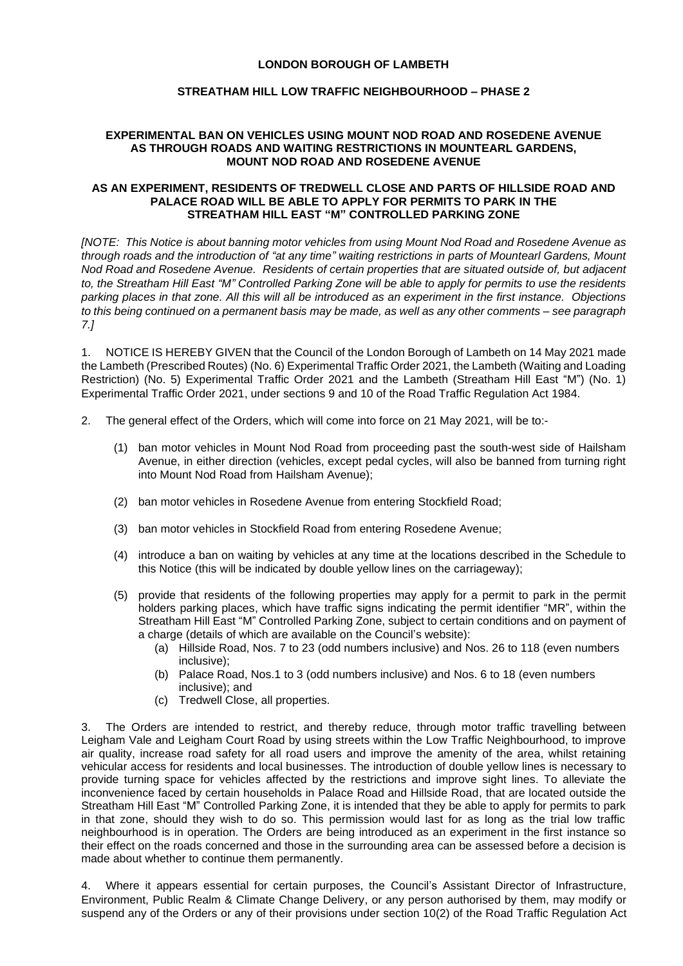# **LONDON BOROUGH OF LAMBETH**

# **STREATHAM HILL LOW TRAFFIC NEIGHBOURHOOD – PHASE 2**

### **EXPERIMENTAL BAN ON VEHICLES USING MOUNT NOD ROAD AND ROSEDENE AVENUE AS THROUGH ROADS AND WAITING RESTRICTIONS IN MOUNTEARL GARDENS, MOUNT NOD ROAD AND ROSEDENE AVENUE**

#### **AS AN EXPERIMENT, RESIDENTS OF TREDWELL CLOSE AND PARTS OF HILLSIDE ROAD AND PALACE ROAD WILL BE ABLE TO APPLY FOR PERMITS TO PARK IN THE STREATHAM HILL EAST "M" CONTROLLED PARKING ZONE**

*[NOTE: This Notice is about banning motor vehicles from using Mount Nod Road and Rosedene Avenue as through roads and the introduction of "at any time" waiting restrictions in parts of Mountearl Gardens, Mount Nod Road and Rosedene Avenue. Residents of certain properties that are situated outside of, but adjacent to, the Streatham Hill East "M" Controlled Parking Zone will be able to apply for permits to use the residents parking places in that zone. All this will all be introduced as an experiment in the first instance. Objections to this being continued on a permanent basis may be made, as well as any other comments – see paragraph 7.]*

1. NOTICE IS HEREBY GIVEN that the Council of the London Borough of Lambeth on 14 May 2021 made the Lambeth (Prescribed Routes) (No. 6) Experimental Traffic Order 2021, the Lambeth (Waiting and Loading Restriction) (No. 5) Experimental Traffic Order 2021 and the Lambeth (Streatham Hill East "M") (No. 1) Experimental Traffic Order 2021, under sections 9 and 10 of the Road Traffic Regulation Act 1984.

- 2. The general effect of the Orders, which will come into force on 21 May 2021, will be to:-
	- (1) ban motor vehicles in Mount Nod Road from proceeding past the south-west side of Hailsham Avenue, in either direction (vehicles, except pedal cycles, will also be banned from turning right into Mount Nod Road from Hailsham Avenue);
	- (2) ban motor vehicles in Rosedene Avenue from entering Stockfield Road;
	- (3) ban motor vehicles in Stockfield Road from entering Rosedene Avenue;
	- (4) introduce a ban on waiting by vehicles at any time at the locations described in the Schedule to this Notice (this will be indicated by double yellow lines on the carriageway);
	- (5) provide that residents of the following properties may apply for a permit to park in the permit holders parking places, which have traffic signs indicating the permit identifier "MR", within the Streatham Hill East "M" Controlled Parking Zone, subject to certain conditions and on payment of a charge (details of which are available on the Council's website):
		- (a) Hillside Road, Nos. 7 to 23 (odd numbers inclusive) and Nos. 26 to 118 (even numbers inclusive);
		- (b) Palace Road, Nos.1 to 3 (odd numbers inclusive) and Nos. 6 to 18 (even numbers inclusive); and
		- (c) Tredwell Close, all properties.

The Orders are intended to restrict, and thereby reduce, through motor traffic travelling between Leigham Vale and Leigham Court Road by using streets within the Low Traffic Neighbourhood, to improve air quality, increase road safety for all road users and improve the amenity of the area, whilst retaining vehicular access for residents and local businesses. The introduction of double yellow lines is necessary to provide turning space for vehicles affected by the restrictions and improve sight lines. To alleviate the inconvenience faced by certain households in Palace Road and Hillside Road, that are located outside the Streatham Hill East "M" Controlled Parking Zone, it is intended that they be able to apply for permits to park in that zone, should they wish to do so. This permission would last for as long as the trial low traffic neighbourhood is in operation. The Orders are being introduced as an experiment in the first instance so their effect on the roads concerned and those in the surrounding area can be assessed before a decision is made about whether to continue them permanently.

4. Where it appears essential for certain purposes, the Council's Assistant Director of Infrastructure, Environment, Public Realm & Climate Change Delivery, or any person authorised by them, may modify or suspend any of the Orders or any of their provisions under section 10(2) of the Road Traffic Regulation Act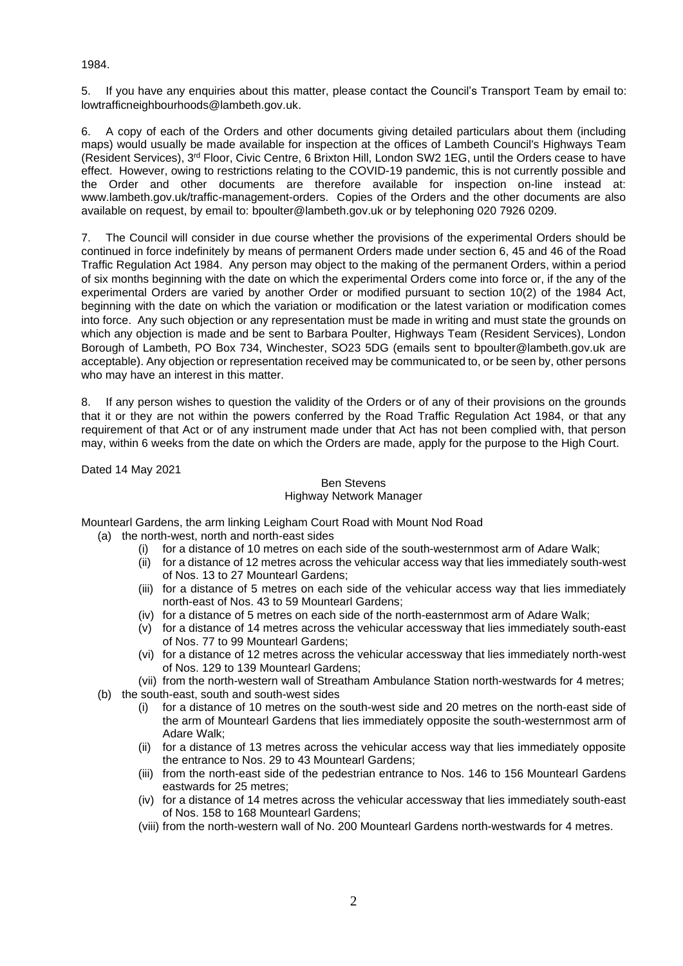# 1984.

5. If you have any enquiries about this matter, please contact the Council's Transport Team by email to: [lowtrafficneighbourhoods@lambeth.gov.uk.](mailto:lowtrafficneighbourhoods@lambeth.gov.uk)

6. A copy of each of the Orders and other documents giving detailed particulars about them (including maps) would usually be made available for inspection at the offices of Lambeth Council's Highways Team (Resident Services), 3<sup>rd</sup> Floor, Civic Centre, 6 Brixton Hill, London SW2 1EG, until the Orders cease to have effect. However, owing to restrictions relating to the COVID-19 pandemic, this is not currently possible and the Order and other documents are therefore available for inspection on-line instead at: [www.lambeth.gov.uk/traffic-management-orders.](https://eur01.safelinks.protection.outlook.com/?url=http%3A%2F%2Fwww.lambeth.gov.uk%2Ftraffic-management-orders&data=02%7C01%7CHazel.Game%40projectcentre.co.uk%7Cdb2cc4466d98464379e108d8228a177f%7C3734172ae82a4ac7a3d302949970d5e6%7C0%7C0%7C637297323791658621&sdata=%2F9T0mTHJshTJ2XJRn1W8ejKPOCPyu4ImJy8Y%2BVrLotM%3D&reserved=0) Copies of the Orders and the other documents are also available on request, by email to: [bpoulter@lambeth.gov.uk](mailto:bpoulter@lambeth.gov.uk) or by telephoning 020 7926 0209.

7. The Council will consider in due course whether the provisions of the experimental Orders should be continued in force indefinitely by means of permanent Orders made under section 6, 45 and 46 of the Road Traffic Regulation Act 1984. Any person may object to the making of the permanent Orders, within a period of six months beginning with the date on which the experimental Orders come into force or, if the any of the experimental Orders are varied by another Order or modified pursuant to section 10(2) of the 1984 Act, beginning with the date on which the variation or modification or the latest variation or modification comes into force. Any such objection or any representation must be made in writing and must state the grounds on which any objection is made and be sent to Barbara Poulter, Highways Team (Resident Services), London Borough of Lambeth, PO Box 734, Winchester, SO23 5DG (emails sent to [bpoulter@lambeth.gov.uk](mailto:bpoulter@lambeth.gov.uk) are acceptable). Any objection or representation received may be communicated to, or be seen by, other persons who may have an interest in this matter.

If any person wishes to question the validity of the Orders or of any of their provisions on the grounds that it or they are not within the powers conferred by the Road Traffic Regulation Act 1984, or that any requirement of that Act or of any instrument made under that Act has not been complied with, that person may, within 6 weeks from the date on which the Orders are made, apply for the purpose to the High Court.

Dated 14 May 2021

# Ben Stevens Highway Network Manager

Mountearl Gardens, the arm linking Leigham Court Road with Mount Nod Road

- (a) the north-west, north and north-east sides
	- (i) for a distance of 10 metres on each side of the south-westernmost arm of Adare Walk;
	- (ii) for a distance of 12 metres across the vehicular access way that lies immediately south-west of Nos. 13 to 27 Mountearl Gardens;
	- (iii) for a distance of 5 metres on each side of the vehicular access way that lies immediately north-east of Nos. 43 to 59 Mountearl Gardens;
	- (iv) for a distance of 5 metres on each side of the north-easternmost arm of Adare Walk;
	- (v) for a distance of 14 metres across the vehicular accessway that lies immediately south-east of Nos. 77 to 99 Mountearl Gardens;
	- (vi) for a distance of 12 metres across the vehicular accessway that lies immediately north-west of Nos. 129 to 139 Mountearl Gardens;
	- (vii) from the north-western wall of Streatham Ambulance Station north-westwards for 4 metres;
- (b) the south-east, south and south-west sides
	- (i) for a distance of 10 metres on the south-west side and 20 metres on the north-east side of the arm of Mountearl Gardens that lies immediately opposite the south-westernmost arm of Adare Walk;
	- (ii) for a distance of 13 metres across the vehicular access way that lies immediately opposite the entrance to Nos. 29 to 43 Mountearl Gardens;
	- (iii) from the north-east side of the pedestrian entrance to Nos. 146 to 156 Mountearl Gardens eastwards for 25 metres;
	- (iv) for a distance of 14 metres across the vehicular accessway that lies immediately south-east of Nos. 158 to 168 Mountearl Gardens;
	- (viii) from the north-western wall of No. 200 Mountearl Gardens north-westwards for 4 metres.